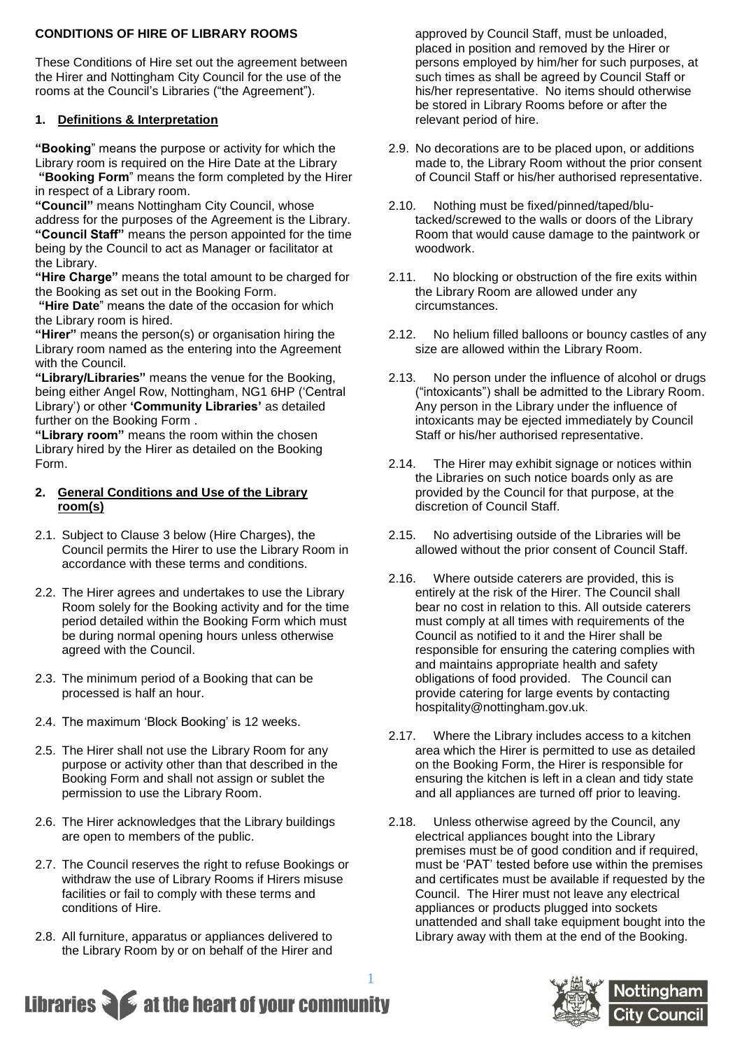# **CONDITIONS OF HIRE OF LIBRARY ROOMS**

These Conditions of Hire set out the agreement between the Hirer and Nottingham City Council for the use of the rooms at the Council's Libraries ("the Agreement").

# **1. Definitions & Interpretation**

**"Booking**" means the purpose or activity for which the Library room is required on the Hire Date at the Library **"Booking Form**" means the form completed by the Hirer

in respect of a Library room.

**"Council"** means Nottingham City Council, whose address for the purposes of the Agreement is the Library. **"Council Staff"** means the person appointed for the time being by the Council to act as Manager or facilitator at the Library.

**"Hire Charge"** means the total amount to be charged for the Booking as set out in the Booking Form.

**"Hire Date**" means the date of the occasion for which the Library room is hired.

**"Hirer"** means the person(s) or organisation hiring the Library room named as the entering into the Agreement with the Council.

**"Library/Libraries"** means the venue for the Booking, being either Angel Row, Nottingham, NG1 6HP ('Central Library') or other **'Community Libraries'** as detailed further on the Booking Form .

**"Library room"** means the room within the chosen Library hired by the Hirer as detailed on the Booking Form.

#### **2. General Conditions and Use of the Library room(s)**

- 2.1. Subject to Clause 3 below (Hire Charges), the Council permits the Hirer to use the Library Room in accordance with these terms and conditions.
- 2.2. The Hirer agrees and undertakes to use the Library Room solely for the Booking activity and for the time period detailed within the Booking Form which must be during normal opening hours unless otherwise agreed with the Council.
- 2.3. The minimum period of a Booking that can be processed is half an hour.
- 2.4. The maximum 'Block Booking' is 12 weeks.
- 2.5. The Hirer shall not use the Library Room for any purpose or activity other than that described in the Booking Form and shall not assign or sublet the permission to use the Library Room.
- 2.6. The Hirer acknowledges that the Library buildings are open to members of the public.
- 2.7. The Council reserves the right to refuse Bookings or withdraw the use of Library Rooms if Hirers misuse facilities or fail to comply with these terms and conditions of Hire.
- 2.8. All furniture, apparatus or appliances delivered to the Library Room by or on behalf of the Hirer and

approved by Council Staff, must be unloaded, placed in position and removed by the Hirer or persons employed by him/her for such purposes, at such times as shall be agreed by Council Staff or his/her representative. No items should otherwise be stored in Library Rooms before or after the relevant period of hire.

- 2.9. No decorations are to be placed upon, or additions made to, the Library Room without the prior consent of Council Staff or his/her authorised representative.
- 2.10. Nothing must be fixed/pinned/taped/blutacked/screwed to the walls or doors of the Library Room that would cause damage to the paintwork or woodwork.
- 2.11. No blocking or obstruction of the fire exits within the Library Room are allowed under any circumstances.
- 2.12. No helium filled balloons or bouncy castles of any size are allowed within the Library Room.
- 2.13. No person under the influence of alcohol or drugs ("intoxicants") shall be admitted to the Library Room. Any person in the Library under the influence of intoxicants may be ejected immediately by Council Staff or his/her authorised representative.
- 2.14. The Hirer may exhibit signage or notices within the Libraries on such notice boards only as are provided by the Council for that purpose, at the discretion of Council Staff.
- 2.15. No advertising outside of the Libraries will be allowed without the prior consent of Council Staff.
- 2.16. Where outside caterers are provided, this is entirely at the risk of the Hirer. The Council shall bear no cost in relation to this. All outside caterers must comply at all times with requirements of the Council as notified to it and the Hirer shall be responsible for ensuring the catering complies with and maintains appropriate health and safety obligations of food provided. The Council can provide catering for large events by contacting [hospitality@nottingham.gov.uk](mailto:hospitality@nottingham.gov.uk).
- 2.17. Where the Library includes access to a kitchen area which the Hirer is permitted to use as detailed on the Booking Form, the Hirer is responsible for ensuring the kitchen is left in a clean and tidy state and all appliances are turned off prior to leaving.
- 2.18. Unless otherwise agreed by the Council, any electrical appliances bought into the Library premises must be of good condition and if required, must be 'PAT' tested before use within the premises and certificates must be available if requested by the Council. The Hirer must not leave any electrical appliances or products plugged into sockets unattended and shall take equipment bought into the Library away with them at the end of the Booking.



# 1 Libraries  $\sum$  at the heart of your community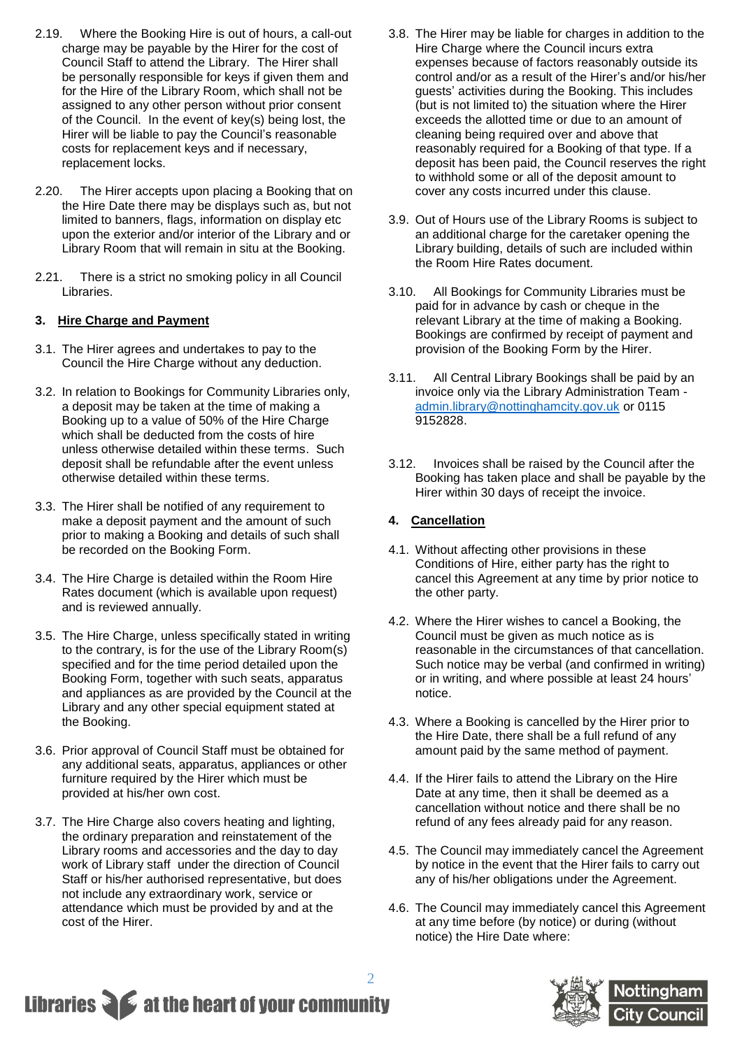- 2.19. Where the Booking Hire is out of hours, a call-out charge may be payable by the Hirer for the cost of Council Staff to attend the Library. The Hirer shall be personally responsible for keys if given them and for the Hire of the Library Room, which shall not be assigned to any other person without prior consent of the Council. In the event of key(s) being lost, the Hirer will be liable to pay the Council's reasonable costs for replacement keys and if necessary, replacement locks.
- 2.20. The Hirer accepts upon placing a Booking that on the Hire Date there may be displays such as, but not limited to banners, flags, information on display etc upon the exterior and/or interior of the Library and or Library Room that will remain in situ at the Booking.
- 2.21. There is a strict no smoking policy in all Council Libraries.

# **3. Hire Charge and Payment**

- 3.1. The Hirer agrees and undertakes to pay to the Council the Hire Charge without any deduction.
- 3.2. In relation to Bookings for Community Libraries only, a deposit may be taken at the time of making a Booking up to a value of 50% of the Hire Charge which shall be deducted from the costs of hire unless otherwise detailed within these terms. Such deposit shall be refundable after the event unless otherwise detailed within these terms.
- 3.3. The Hirer shall be notified of any requirement to make a deposit payment and the amount of such prior to making a Booking and details of such shall be recorded on the Booking Form.
- 3.4. The Hire Charge is detailed within the Room Hire Rates document (which is available upon request) and is reviewed annually.
- 3.5. The Hire Charge, unless specifically stated in writing to the contrary, is for the use of the Library Room(s) specified and for the time period detailed upon the Booking Form, together with such seats, apparatus and appliances as are provided by the Council at the Library and any other special equipment stated at the Booking.
- 3.6. Prior approval of Council Staff must be obtained for any additional seats, apparatus, appliances or other furniture required by the Hirer which must be provided at his/her own cost.
- 3.7. The Hire Charge also covers heating and lighting, the ordinary preparation and reinstatement of the Library rooms and accessories and the day to day work of Library staff under the direction of Council Staff or his/her authorised representative, but does not include any extraordinary work, service or attendance which must be provided by and at the cost of the Hirer.
- 3.8. The Hirer may be liable for charges in addition to the Hire Charge where the Council incurs extra expenses because of factors reasonably outside its control and/or as a result of the Hirer's and/or his/her guests' activities during the Booking. This includes (but is not limited to) the situation where the Hirer exceeds the allotted time or due to an amount of cleaning being required over and above that reasonably required for a Booking of that type. If a deposit has been paid, the Council reserves the right to withhold some or all of the deposit amount to cover any costs incurred under this clause.
- 3.9. Out of Hours use of the Library Rooms is subject to an additional charge for the caretaker opening the Library building, details of such are included within the Room Hire Rates document.
- 3.10. All Bookings for Community Libraries must be paid for in advance by cash or cheque in the relevant Library at the time of making a Booking. Bookings are confirmed by receipt of payment and provision of the Booking Form by the Hirer.
- 3.11. All Central Library Bookings shall be paid by an invoice only via the Library Administration Team [admin.library@nottinghamcity.gov.uk](mailto:admin.library@nottinghamcity.gov.uk) or 0115 9152828.
- 3.12. Invoices shall be raised by the Council after the Booking has taken place and shall be payable by the Hirer within 30 days of receipt the invoice.

# **4. Cancellation**

- 4.1. Without affecting other provisions in these Conditions of Hire, either party has the right to cancel this Agreement at any time by prior notice to the other party.
- 4.2. Where the Hirer wishes to cancel a Booking, the Council must be given as much notice as is reasonable in the circumstances of that cancellation. Such notice may be verbal (and confirmed in writing) or in writing, and where possible at least 24 hours' notice.
- 4.3. Where a Booking is cancelled by the Hirer prior to the Hire Date, there shall be a full refund of any amount paid by the same method of payment.
- 4.4. If the Hirer fails to attend the Library on the Hire Date at any time, then it shall be deemed as a cancellation without notice and there shall be no refund of any fees already paid for any reason.
- 4.5. The Council may immediately cancel the Agreement by notice in the event that the Hirer fails to carry out any of his/her obligations under the Agreement.
- 4.6. The Council may immediately cancel this Agreement at any time before (by notice) or during (without notice) the Hire Date where:



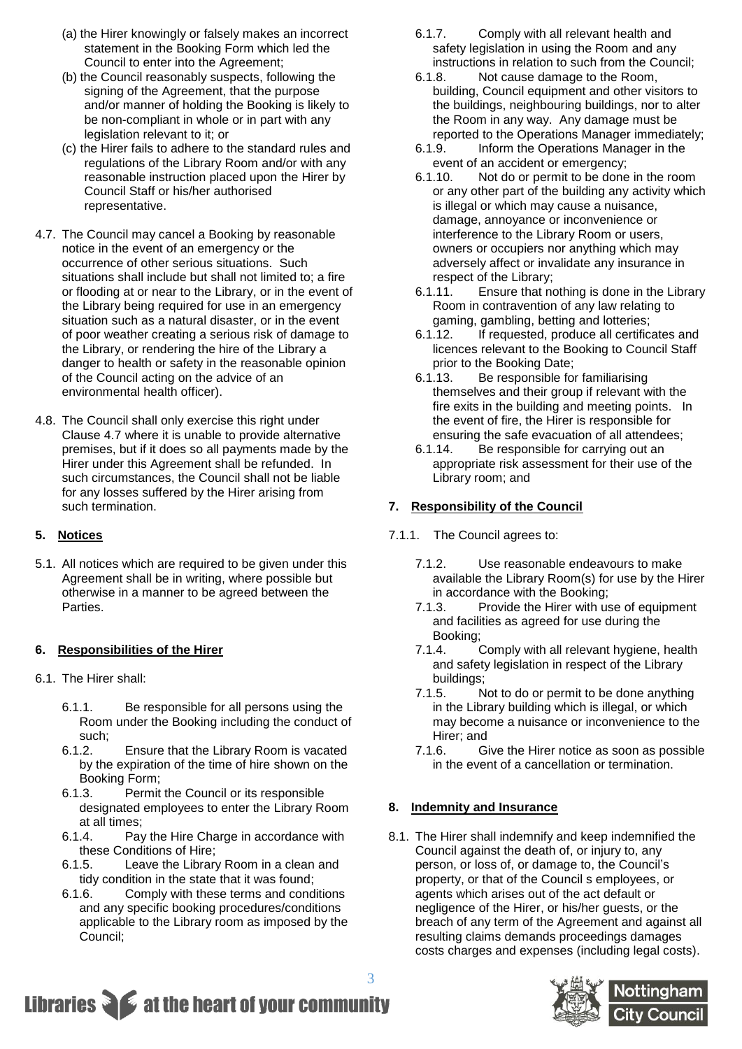- (a) the Hirer knowingly or falsely makes an incorrect statement in the Booking Form which led the Council to enter into the Agreement;
- (b) the Council reasonably suspects, following the signing of the Agreement, that the purpose and/or manner of holding the Booking is likely to be non-compliant in whole or in part with any legislation relevant to it; or
- (c) the Hirer fails to adhere to the standard rules and regulations of the Library Room and/or with any reasonable instruction placed upon the Hirer by Council Staff or his/her authorised representative.
- 4.7. The Council may cancel a Booking by reasonable notice in the event of an emergency or the occurrence of other serious situations. Such situations shall include but shall not limited to; a fire or flooding at or near to the Library, or in the event of the Library being required for use in an emergency situation such as a natural disaster, or in the event of poor weather creating a serious risk of damage to the Library, or rendering the hire of the Library a danger to health or safety in the reasonable opinion of the Council acting on the advice of an environmental health officer).
- 4.8. The Council shall only exercise this right under Clause 4.7 where it is unable to provide alternative premises, but if it does so all payments made by the Hirer under this Agreement shall be refunded. In such circumstances, the Council shall not be liable for any losses suffered by the Hirer arising from such termination.

# **5. Notices**

5.1. All notices which are required to be given under this Agreement shall be in writing, where possible but otherwise in a manner to be agreed between the Parties.

# **6. Responsibilities of the Hirer**

- 6.1. The Hirer shall:
	- 6.1.1. Be responsible for all persons using the Room under the Booking including the conduct of such;
	- 6.1.2. Ensure that the Library Room is vacated by the expiration of the time of hire shown on the Booking Form;
	- 6.1.3. Permit the Council or its responsible designated employees to enter the Library Room at all times;
	- 6.1.4. Pay the Hire Charge in accordance with these Conditions of Hire;
	- 6.1.5. Leave the Library Room in a clean and tidy condition in the state that it was found;
	- 6.1.6. Comply with these terms and conditions and any specific booking procedures/conditions applicable to the Library room as imposed by the Council;
- 6.1.7. Comply with all relevant health and safety legislation in using the Room and any instructions in relation to such from the Council;
- 6.1.8. Not cause damage to the Room, building, Council equipment and other visitors to the buildings, neighbouring buildings, nor to alter the Room in any way. Any damage must be reported to the Operations Manager immediately;
- 6.1.9. Inform the Operations Manager in the event of an accident or emergency;
- 6.1.10. Not do or permit to be done in the room or any other part of the building any activity which is illegal or which may cause a nuisance, damage, annoyance or inconvenience or interference to the Library Room or users, owners or occupiers nor anything which may adversely affect or invalidate any insurance in respect of the Library;
- 6.1.11. Ensure that nothing is done in the Library Room in contravention of any law relating to gaming, gambling, betting and lotteries;
- 6.1.12. If requested, produce all certificates and licences relevant to the Booking to Council Staff prior to the Booking Date;
- 6.1.13. Be responsible for familiarising themselves and their group if relevant with the fire exits in the building and meeting points. In the event of fire, the Hirer is responsible for ensuring the safe evacuation of all attendees;
- 6.1.14. Be responsible for carrying out an appropriate risk assessment for their use of the Library room; and

# **7. Responsibility of the Council**

# 7.1.1. The Council agrees to:

- 7.1.2. Use reasonable endeavours to make available the Library Room(s) for use by the Hirer in accordance with the Booking;
- 7.1.3. Provide the Hirer with use of equipment and facilities as agreed for use during the Booking;
- 7.1.4. Comply with all relevant hygiene, health and safety legislation in respect of the Library buildings;
- 7.1.5. Not to do or permit to be done anything in the Library building which is illegal, or which may become a nuisance or inconvenience to the Hirer; and
- 7.1.6. Give the Hirer notice as soon as possible in the event of a cancellation or termination.

# **8. Indemnity and Insurance**

8.1. The Hirer shall indemnify and keep indemnified the Council against the death of, or injury to, any person, or loss of, or damage to, the Council's property, or that of the Council s employees, or agents which arises out of the act default or negligence of the Hirer, or his/her guests, or the breach of any term of the Agreement and against all resulting claims demands proceedings damages costs charges and expenses (including legal costs).



# Libraries **Section** at the heart of your community